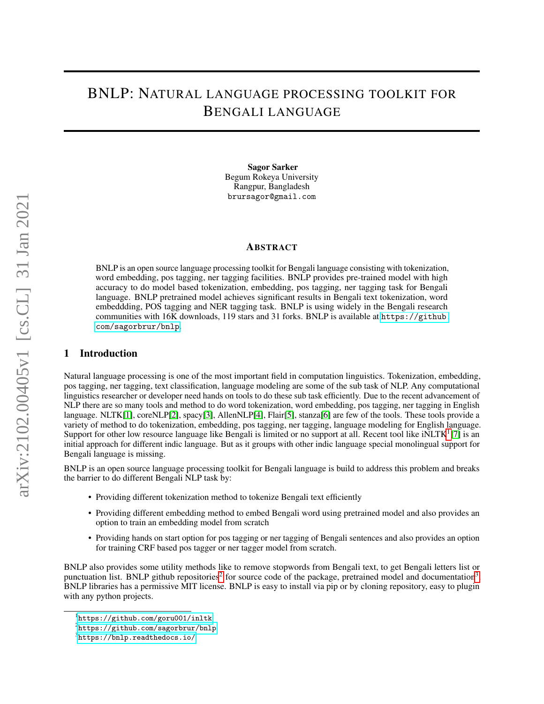# BNLP: NATURAL LANGUAGE PROCESSING TOOLKIT FOR BENGALI LANGUAGE

Sagor Sarker Begum Rokeya University Rangpur, Bangladesh brursagor@gmail.com

#### ABSTRACT

BNLP is an open source language processing toolkit for Bengali language consisting with tokenization, word embedding, pos tagging, ner tagging facilities. BNLP provides pre-trained model with high accuracy to do model based tokenization, embedding, pos tagging, ner tagging task for Bengali language. BNLP pretrained model achieves significant results in Bengali text tokenization, word embeddding, POS tagging and NER tagging task. BNLP is using widely in the Bengali research communities with 16K downloads, 119 stars and 31 forks. BNLP is available at [https://github.](https://github.com/sagorbrur/bnlp) [com/sagorbrur/bnlp](https://github.com/sagorbrur/bnlp).

## 1 Introduction

Natural language processing is one of the most important field in computation linguistics. Tokenization, embedding, pos tagging, ner tagging, text classification, language modeling are some of the sub task of NLP. Any computational linguistics researcher or developer need hands on tools to do these sub task efficiently. Due to the recent advancement of NLP there are so many tools and method to do word tokenization, word embedding, pos tagging, ner tagging in English language. NLTK[\[1\]](#page-3-0), coreNLP[\[2\]](#page-4-0), spacy[\[3\]](#page-4-1), AllenNLP[\[4\]](#page-4-2), Flair[\[5\]](#page-4-3), stanza[\[6\]](#page-4-4) are few of the tools. These tools provide a variety of method to do tokenization, embedding, pos tagging, ner tagging, language modeling for English language. Support for other low resource language like Bengali is limited or no support at all. Recent tool like  $iNLTK<sup>1</sup>[7]$  $iNLTK<sup>1</sup>[7]$  $iNLTK<sup>1</sup>[7]$  $iNLTK<sup>1</sup>[7]$  is an initial approach for different indic language. But as it groups with other indic language special monolingual support for Bengali language is missing.

BNLP is an open source language processing toolkit for Bengali language is build to address this problem and breaks the barrier to do different Bengali NLP task by:

- Providing different tokenization method to tokenize Bengali text efficiently
- Providing different embedding method to embed Bengali word using pretrained model and also provides an option to train an embedding model from scratch
- Providing hands on start option for pos tagging or ner tagging of Bengali sentences and also provides an option for training CRF based pos tagger or ner tagger model from scratch.

BNLP also provides some utility methods like to remove stopwords from Bengali text, to get Bengali letters list or punctuation list. BNLP github repositories<sup>[2](#page-0-1)</sup> for source code of the package, pretrained model and documentation<sup>[3](#page-0-2)</sup>. BNLP libraries has a permissive MIT license. BNLP is easy to install via pip or by cloning repository, easy to plugin with any python projects.

<span id="page-0-0"></span><sup>1</sup> <https://github.com/goru001/inltk>

<span id="page-0-1"></span> $^{2}$ <https://github.com/sagorbrur/bnlp>

<span id="page-0-2"></span><sup>3</sup> <https://bnlp.readthedocs.io/>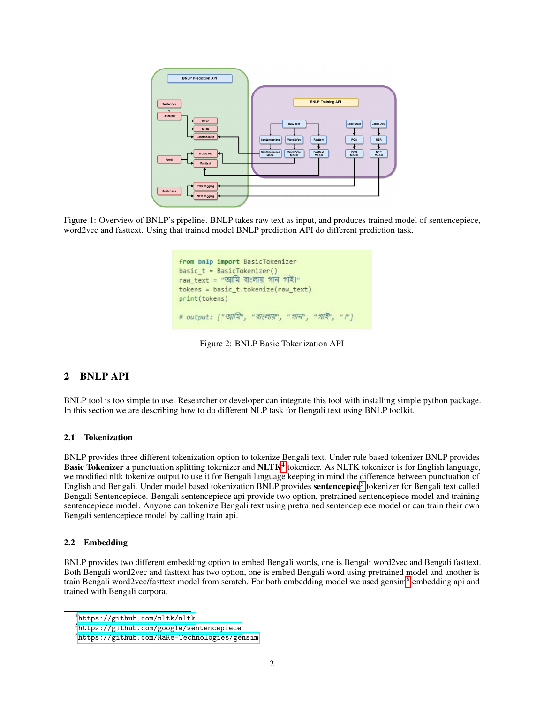

Figure 1: Overview of BNLP's pipeline. BNLP takes raw text as input, and produces trained model of sentencepiece, word2vec and fasttext. Using that trained model BNLP prediction API do different prediction task.

| from bnlp import BasicTokenizer                        |
|--------------------------------------------------------|
| $basic t = BasicTokenizer()$                           |
|                                                        |
| $tokens = basic t.tokenize(raw text)$<br>print(tokens) |
| # output: ["আমি", "বাংলায়", "গাৰ", "গাই', ""]         |

Figure 2: BNLP Basic Tokenization API

# 2 BNLP API

BNLP tool is too simple to use. Researcher or developer can integrate this tool with installing simple python package. In this section we are describing how to do different NLP task for Bengali text using BNLP toolkit.

## 2.1 Tokenization

BNLP provides three different tokenization option to tokenize Bengali text. Under rule based tokenizer BNLP provides Basic Tokenizer a punctuation splitting tokenizer and NLTK<sup>[4](#page-1-0)</sup> tokenizer. As NLTK tokenizer is for English language, we modified nltk tokenize output to use it for Bengali language keeping in mind the difference between punctuation of English and Bengali. Under model based tokenization BNLP provides sentencepice<sup>[5](#page-1-1)</sup> tokenizer for Bengali text called Bengali Sentencepiece. Bengali sentencepiece api provide two option, pretrained sentencepiece model and training sentencepiece model. Anyone can tokenize Bengali text using pretrained sentencepiece model or can train their own Bengali sentencepiece model by calling train api.

#### 2.2 Embedding

BNLP provides two different embedding option to embed Bengali words, one is Bengali word2vec and Bengali fasttext. Both Bengali word2vec and fasttext has two option, one is embed Bengali word using pretrained model and another is train Bengali word2vec/fasttext model from scratch. For both embedding model we used gensim<sup>[6](#page-1-2)</sup> embedding api and trained with Bengali corpora.

<span id="page-1-0"></span><sup>4</sup> <https://github.com/nltk/nltk>

<span id="page-1-1"></span> $^{5}$ <https://github.com/google/sentencepiece>

<span id="page-1-2"></span> $^6$ <https://github.com/RaRe-Technologies/gensim>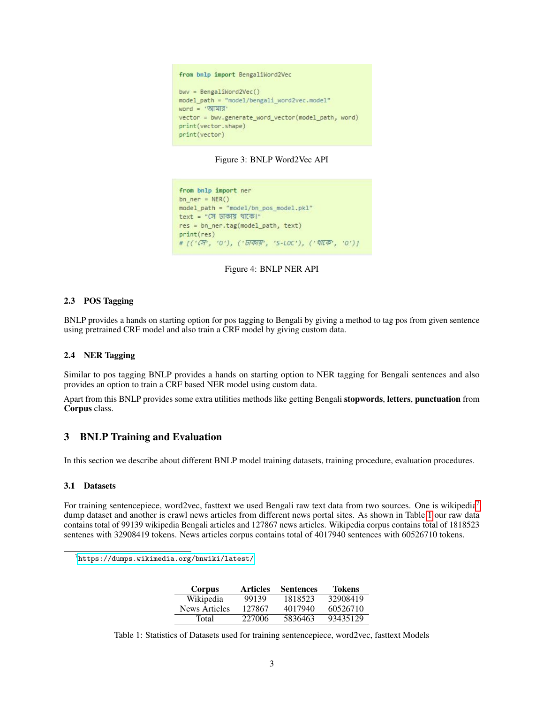#### from bnlp import BengaliWord2Vec

```
bwy = BengaliWord2Vec()model_path = "model/bengali_word2vec.model"
word = 'আমার'
vector = bwv.generate_word_vector(model_path, word)
print(vector.shape)
print(vector)
```
#### Figure 3: BNLP Word2Vec API

from bnlp import ner  $bn_ner = NER()$ model path = "model/bn pos\_model.pkl" text = "সে ঢাকায় থাকে।" res = bn\_ner.tag(model\_path, text)  $print(res)$  $\# \ [(\ ' \mathcal{O} \! T\! \ , \ '0\ '), \ (\ ' \overline{5} \! / \overline{6} \overline{7} \overline{3} \! \ , \ 'S\text{-} L0 \mathsf{C}\ '), \ (\ ' \, \text{$\mathfrak{N} \! \mathfrak{C} \! \mathfrak{P}'\! \ , \ '0\ ') \ ]$ 



## 2.3 POS Tagging

BNLP provides a hands on starting option for pos tagging to Bengali by giving a method to tag pos from given sentence using pretrained CRF model and also train a CRF model by giving custom data.

## 2.4 NER Tagging

Similar to pos tagging BNLP provides a hands on starting option to NER tagging for Bengali sentences and also provides an option to train a CRF based NER model using custom data.

Apart from this BNLP provides some extra utilities methods like getting Bengali stopwords, letters, punctuation from Corpus class.

# 3 BNLP Training and Evaluation

In this section we describe about different BNLP model training datasets, training procedure, evaluation procedures.

## 3.1 Datasets

For training sentencepiece, word2vec, fasttext we used Bengali raw text data from two sources. One is wikipedia<sup>[7](#page-2-0)</sup> dump dataset and another is crawl news articles from different news portal sites. As shown in Table [1](#page-2-1) our raw data contains total of 99139 wikipedia Bengali articles and 127867 news articles. Wikipedia corpus contains total of 1818523 sentenes with 32908419 tokens. News articles corpus contains total of 4017940 sentences with 60526710 tokens.

<span id="page-2-0"></span> $^{7}$ <https://dumps.wikimedia.org/bnwiki/latest/>

| <b>Corpus</b> | <b>Articles</b> | <b>Sentences</b> | Tokens   |
|---------------|-----------------|------------------|----------|
| Wikipedia     | 99139           | 1818523          | 32908419 |
| News Articles | 127867          | 4017940          | 60526710 |
| Total         | 227006          | 5836463          | 93435129 |

<span id="page-2-1"></span>Table 1: Statistics of Datasets used for training sentencepiece, word2vec, fasttext Models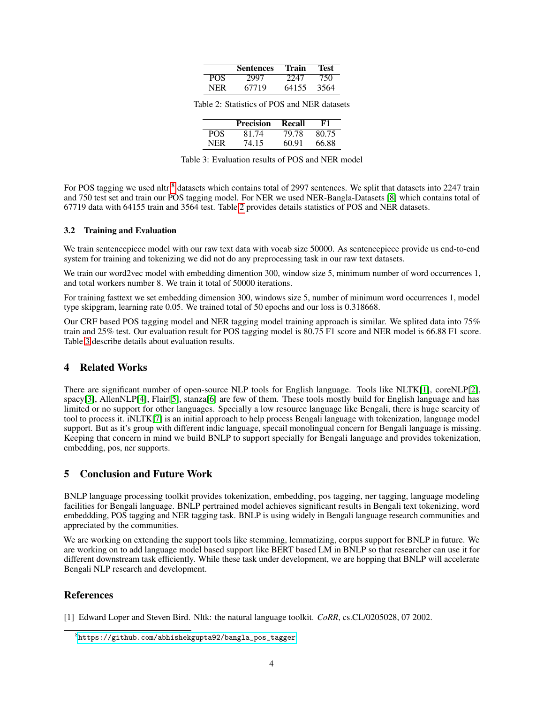|     | <b>Sentences</b> | Train | Test |
|-----|------------------|-------|------|
| POS | 2997             | 2247  | 750  |
| NER | 67719            | 64155 | 3564 |

<span id="page-3-2"></span>Table 2: Statistics of POS and NER datasets

|            | <b>Precision</b> | Recall | F1    |
|------------|------------------|--------|-------|
| POS.       | 81.74            | 79.78  | 80.75 |
| <b>NER</b> | 74.15            | 60.91  | 66.88 |

<span id="page-3-3"></span>Table 3: Evaluation results of POS and NER model

For POS tagging we used nltr<sup>[8](#page-3-1)</sup> datasets which contains total of 2997 sentences. We split that datasets into 2247 train and 750 test set and train our POS tagging model. For NER we used NER-Bangla-Datasets [\[8\]](#page-4-6) which contains total of 67719 data with 64155 train and 3564 test. Table [2](#page-3-2) provides details statistics of POS and NER datasets.

#### 3.2 Training and Evaluation

We train sentencepiece model with our raw text data with vocab size 50000. As sentencepiece provide us end-to-end system for training and tokenizing we did not do any preprocessing task in our raw text datasets.

We train our word2vec model with embedding dimention 300, window size 5, minimum number of word occurrences 1, and total workers number 8. We train it total of 50000 iterations.

For training fasttext we set embedding dimension 300, windows size 5, number of minimum word occurrences 1, model type skipgram, learning rate 0.05. We trained total of 50 epochs and our loss is 0.318668.

Our CRF based POS tagging model and NER tagging model training approach is similar. We splited data into 75% train and 25% test. Our evaluation result for POS tagging model is 80.75 F1 score and NER model is 66.88 F1 score. Table [3](#page-3-3) describe details about evaluation results.

# 4 Related Works

There are significant number of open-source NLP tools for English language. Tools like NLTK[\[1\]](#page-3-0), coreNLP[\[2\]](#page-4-0), spacy[\[3\]](#page-4-1), AllenNLP[\[4\]](#page-4-2), Flair[\[5\]](#page-4-3), stanza[\[6\]](#page-4-4) are few of them. These tools mostly build for English language and has limited or no support for other languages. Specially a low resource language like Bengali, there is huge scarcity of tool to process it. iNLTK[\[7\]](#page-4-5) is an initial approach to help process Bengali language with tokenization, language model support. But as it's group with different indic language, specail monolingual concern for Bengali language is missing. Keeping that concern in mind we build BNLP to support specially for Bengali language and provides tokenization, embedding, pos, ner supports.

# 5 Conclusion and Future Work

BNLP language processing toolkit provides tokenization, embedding, pos tagging, ner tagging, language modeling facilities for Bengali language. BNLP pertrained model achieves significant results in Bengali text tokenizing, word embeddding, POS tagging and NER tagging task. BNLP is using widely in Bengali language research communities and appreciated by the communities.

We are working on extending the support tools like stemming, lemmatizing, corpus support for BNLP in future. We are working on to add language model based support like BERT based LM in BNLP so that researcher can use it for different downstream task efficiently. While these task under development, we are hopping that BNLP will accelerate Bengali NLP research and development.

# References

<span id="page-3-0"></span>[1] Edward Loper and Steven Bird. Nltk: the natural language toolkit. *CoRR*, cs.CL/0205028, 07 2002.

<span id="page-3-1"></span> $^8$ https://github.com/abhishekgupta $92$ /bangla\_pos\_tagger